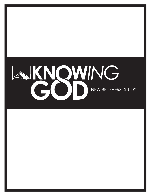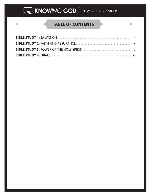## **TABLE OF CONTENTS**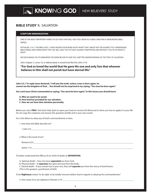### **BIBLE STUDY 1:** SALVATION

#### **SCRIPTURE MEMORIZATION:**

ONE OF THE MOST IMPORTANT HABITS TO GET INTO THAT WILL HELP YOU GROW AS A NEW CHRISTIAN IS MEMORIZING BIBLE VERSES.

IN PSALMS 119:11 THE BIBLE SAYS, "I HAVE HIDDEN YOUR WORD IN MY HEART THAT I MIGHT NOT SIN AGAINST YOU." MEMORIZING BIBLE VERSES AND DOING WHAT THEY SAY, WILL HELP YOU TO FIGHT AGAINST TEMPTATION AND INSTRUCT YOU TO DO WHAT IS RIGHT.

WE ENCOURAGE YOU TO MEMORIZE THE VERSE BELOW TO GIVE YOU A BETTER UNDERSTANDING OF THE TOPIC OF SALVATION.

John chapter 3, verse 16, or abbreviated, it would look like this John 3:16.

**"For God so loved the world that He gave His one and only Son that whoever believes in Him shall not perish but have eternal life."**

**John 3:3, 7 In reply Jesus declared, "I tell you the truth, unless a man is born again, he cannot see the kingdom of God… You should not be surprised at my saying, "You must be born again."**

**Our Lord Jesus Christ commanded us saying, "You must be born again." In this lesson you should learn:**

**A. Why we need to be saved.**

**B. How God has provided for our salvation.**

**C. How we can have that salvation personally.**

Before you start, **PRAY**. Ask God's Holy Spirit to open your heart to receive His Word and to show you how to apply it in your life. Do not copy the scriptures, but answer the questions briefly and in your own words.

Sin is the failure to obey any of God's commandments or laws.

1. How does the Bible describe sin?

1 John 3:4\_\_\_\_\_\_\_\_\_\_\_\_\_\_\_\_\_\_\_\_\_\_\_\_\_\_\_\_\_\_\_\_\_\_\_\_\_\_\_\_\_\_\_\_\_\_\_\_\_\_\_\_\_\_\_\_\_\_\_\_\_\_\_\_\_\_\_\_\_\_\_\_\_\_\_\_\_\_\_\_\_\_\_\_\_\_\_\_\_\_\_\_

2. What is the result of sin?

Romans 6:23

James  $1:15$ 

To better understand the effects of sin, think of death as **SEPARATION**.

A. Spiritual death—Your sins have **separated** you from God.

B. Physical death—It **separates** the spirit and soul from the body.

C. Eternal death—If you remain lost in your sins, they will **separate** you from the mercy of God forever.

(This is the greatest punishment of Hell.)

To be **Righteous** means "to do right: to be totally innocent before God in regards to obeying His commandments."

3. How many of us are righteous? Romans 3:10 \_\_\_\_\_\_\_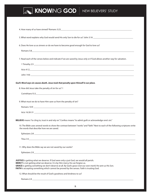

| 5. What word explains why God would send His only Son to die for us? John 3:16 _______________________________                                                                                                                                                                                                                                                                  |
|---------------------------------------------------------------------------------------------------------------------------------------------------------------------------------------------------------------------------------------------------------------------------------------------------------------------------------------------------------------------------------|
| 6. Does He love us as sinners or do we have to become good enough for God to love us?                                                                                                                                                                                                                                                                                           |
| 7. Read each of the verses below and indicate if we are saved by Jesus only or if God allows another way for salvation.                                                                                                                                                                                                                                                         |
|                                                                                                                                                                                                                                                                                                                                                                                 |
|                                                                                                                                                                                                                                                                                                                                                                                 |
| God's Word says sin causes death. Jesus took that penalty upon Himself in our place.                                                                                                                                                                                                                                                                                            |
| 8. How did Jesus take the penalty of sin for us? 1                                                                                                                                                                                                                                                                                                                              |
| Corinthians15:3 <b>Corinthians Corinthians Corinthians Corinthians Corinthians Corinthians Corinthians Corinthians Corinthians Corinthians Corinthians Corinthians Corinthians Corinthians Corinthia</b>                                                                                                                                                                        |
| 9. What must we do to have Him save us from the penalty of sin?                                                                                                                                                                                                                                                                                                                 |
|                                                                                                                                                                                                                                                                                                                                                                                 |
|                                                                                                                                                                                                                                                                                                                                                                                 |
| BELIEVE means "to cling to, trust in and rely on." Confess means "to admit guilt or acknowledge one's sin."                                                                                                                                                                                                                                                                     |
| 10. The Bible uses several words to show the contrast between "works" and "faith." Next to each of the following scriptures write<br>the words that describe how we are saved.                                                                                                                                                                                                  |
|                                                                                                                                                                                                                                                                                                                                                                                 |
|                                                                                                                                                                                                                                                                                                                                                                                 |
| 11. Why does the Bible say we are not saved by our works?                                                                                                                                                                                                                                                                                                                       |
|                                                                                                                                                                                                                                                                                                                                                                                 |
| JUSTICE is getting what we deserve. If God were only a just God, we would all perish.<br>MERCY is not getting what we deserve. It is by Him mercy He can forgive us.<br>GRACE is getting something we don't deserve at all. By God's grace (not our own merit) He sent us His Son.<br>FAITH is accepting something which cannot be proved by the senses. Faith is trusting God. |
| 12. What should be the result of God's goodness and kindness to us?                                                                                                                                                                                                                                                                                                             |
|                                                                                                                                                                                                                                                                                                                                                                                 |
|                                                                                                                                                                                                                                                                                                                                                                                 |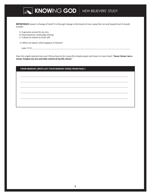**REPENTANCE** means "a change of mind." It is through change in the hearts of men, away from sin and toward God. It should include:

A. A genuine sorrow for our sins.

- B. Cleansing from continually sinning.
- C. A desire to submit to God's will.

13. When we repent, when happens in Heaven?

Luke 15:10\_\_\_\_\_\_\_\_\_\_\_\_\_\_\_\_\_\_\_\_\_\_\_\_\_\_\_\_\_\_\_\_\_\_\_\_\_\_\_\_\_\_\_\_\_\_\_\_\_\_\_\_\_\_\_\_\_\_\_\_\_\_\_\_\_\_\_\_\_\_\_\_\_\_\_\_\_\_\_\_\_\_\_\_\_\_\_\_\_

Have the angels rejoiced over you? All you have to do is pray this simple prayer and mean it in your heart: **"Jesus I know I am a sinner. Forgive my sins and take control of my life, Amen."**

| FROM MEMORY, WRITE OUT YOUR MEMORY VERSE FROM PAGE 1. |  |
|-------------------------------------------------------|--|
|                                                       |  |
|                                                       |  |
|                                                       |  |
|                                                       |  |
|                                                       |  |
|                                                       |  |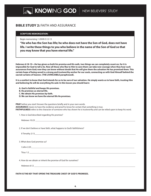## **BIBLE STUDY 2:** FAITH AND ASSURANCE

### **SCRIPTURE MEMORIZATION:**

Begin memorizing 1 JOHN 5:12-13

**"He who has the Son has life; he who does not have the Son of God, does not have life. I write these things to you who believe in the name of the Son of God so that you may know that you have eternal life."**

**Hebrews 6:18-19—He has given us both his promise and His oath, two things we can completely count on, for it is impossible for God to tell a lie. Now all those who flee to Him to save them can take new courage when they hear such assurances from God; now they can know without doubt that He will give them the salvation He has promised them. This certain hope of being saved is a strong and trustworthy anchor for our souls, connecting us with God Himself behind the sacred curtains of heaven. (THE LIVING BIBLE paraphrased).**

**It is a comfort to know that God intends for us to be sure of our salvation. He simply wants us to have faith, trusting Him and believing He will do everything He said. In this lesson you should learn:** 

**A. God is faithful and keeps His promises.**

**B. He promises us eternal life.** 

**C. We obtain His promises by faith.**

**D. We can know we have the eternal life He promises.**

**PRAY** before you start! Answer the questions briefly and in your own words. **ASSURANCE** means to have the evidence and proof to know for certain that something is true. **FAITHFULNESS** refers to the character of someone who has shown he is trustworthy and can be relied upon to keep his word.

1. How is God described regarding His promise?

Hebrews 10:23 \_\_\_\_\_\_\_\_\_\_\_\_\_\_\_\_\_\_\_\_\_\_\_\_\_\_\_\_\_\_\_\_\_\_\_\_\_\_\_\_\_\_\_\_\_\_\_\_\_\_\_\_\_\_\_\_\_\_\_\_\_\_\_\_\_\_\_\_\_\_\_\_\_\_\_\_\_\_\_\_\_\_\_\_\_\_\_\_\_\_

2. If we don't believe or have faith, what happens to God's faithfulness?

| Il Timothy 2:13 |  |  |
|-----------------|--|--|
|                 |  |  |
|                 |  |  |

3. What does God promise us?

I John 2:25\_\_\_\_\_\_\_\_\_\_\_\_\_\_\_\_\_\_\_\_\_\_\_\_\_\_\_\_\_\_\_\_\_\_\_\_\_\_\_\_\_\_\_\_\_\_\_\_\_\_\_\_\_\_\_\_\_\_\_\_\_\_\_\_\_\_\_\_\_\_\_\_\_\_\_\_\_\_\_\_\_\_\_\_\_\_\_\_\_\_\_\_\_

Titus 1:2  $\Box$ 

4. How do we obtain or inherit the promise of God for ourselves?

Hebrews 6:12

**FAITH IS THE KEY THAT OPENS THE TREASURE CHEST OF GOD'S PROMISES.**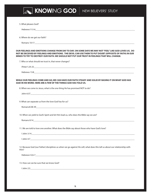**KNOWING GOD NEW BELIEVERS' STUDY** 5. What pleases God?

Hebrews 11:5-6\_\_\_\_\_\_\_\_\_\_\_\_\_\_\_\_\_\_\_\_\_\_\_\_\_\_\_\_\_\_\_\_\_\_\_\_\_\_\_\_\_\_\_\_\_\_\_\_\_\_\_\_\_\_\_\_\_\_\_\_\_\_\_\_\_\_\_\_\_\_\_\_\_\_\_\_\_\_\_\_\_\_\_\_\_\_\_\_\_\_

6. Where do we get our faith?

Romans 10:17\_\_\_\_\_\_\_\_\_\_\_\_\_\_\_\_\_\_\_\_\_\_\_\_\_\_\_\_\_\_\_\_\_\_\_\_\_\_\_\_\_\_\_\_\_\_\_\_\_\_\_\_\_\_\_\_\_\_\_\_\_\_\_\_\_\_\_\_\_\_\_\_\_\_\_\_\_\_\_\_\_\_\_\_\_\_\_\_\_\_

#### **OUR FEELINGS AND EMOTIONS CHANGE FROM DAY TO DAY. ON SOME DAYS WE MAY NOT "FEEL" LIKE GOD LOVES US. DO NOT BE DECEIVED BY FEELINGS AND EMOTIONS. THE DEVIL CAN USE THEM TO PUT DOUBT (OPPOSITE OF FAITH) IN OUR MINDS TO TRY TO DESTROY OUR FAITH. WE SHOULD NOT PUT OUR TRUST IN FEELINGS THAT WILL CHANGE.**

7. Who or what should we trust in, that never changes?

| IPeter1:24-25 |  |  |  |
|---------------|--|--|--|
| Hebrews 13:8  |  |  |  |

### **WHILE OUR FEELINGS COME AND GO, WE CAN HAVE OUR FAITH STEADY AND SOLID BY BASING IT ON WHAT GOD HAS SAID IN HIS WORD. HERE ARE A FEW OF THE THINGS GOD HAS TOLD US.**

8. When we come to Jesus, what is the one thing He has promised NOT to do?

John  $6:37$ 

9. What can separate us from the love God has for us?

Romans 8:38-39

10. When we yield to God's Spirit and let Him lead us, who does the Bible say we are?

Romans 8:14

11. We are told to love one another. What does the Bible say about those who have God's love?

| lohn 3<br>____ |  |  |  |
|----------------|--|--|--|
|                |  |  |  |

 $1$  John 4:7 $\Box$ 

12. Because God (our Father) disciplines us when we go against His will, what does this tell us about our relationship with Him?

Hebrews 12:6-7\_\_\_\_\_\_\_\_\_\_\_\_\_\_\_\_\_\_\_\_\_\_\_\_\_\_\_\_\_\_\_\_\_\_\_\_\_\_\_\_\_\_\_\_\_\_\_\_\_\_\_\_\_\_\_\_\_\_\_\_\_\_\_\_\_\_\_\_\_\_\_\_\_\_\_\_\_\_\_\_\_\_\_\_\_\_\_\_\_\_

13. How can we be sure that we know God?

I John 2:3\_\_\_\_\_\_\_\_\_\_\_\_\_\_\_\_\_\_\_\_\_\_\_\_\_\_\_\_\_\_\_\_\_\_\_\_\_\_\_\_\_\_\_\_\_\_\_\_\_\_\_\_\_\_\_\_\_\_\_\_\_\_\_\_\_\_\_\_\_\_\_\_\_\_\_\_\_\_\_\_\_\_\_\_\_\_\_\_\_\_\_\_\_\_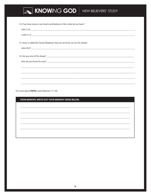| 14. If we have Jesus in our hearts and believe in Him, what do we have?          |
|----------------------------------------------------------------------------------|
|                                                                                  |
|                                                                                  |
|                                                                                  |
| 15. Jesus is called the Good Shepherd. How do we know we are His sheep?          |
|                                                                                  |
|                                                                                  |
|                                                                                  |
|                                                                                  |
|                                                                                  |
| ,我们也不能会在这里,我们也不能会在这里,我们也不能会在这里,我们也不能会在这里,我们也不能会在这里,我们也不能会在这里,我们也不能会不能会不能会。""我们,我 |
|                                                                                  |
|                                                                                  |
|                                                                                  |

For more about FAITH, read Hebrews 11:1-40.

FROM MEMORY, WRITE OUT YOUR MEMORY VERSE BELOW.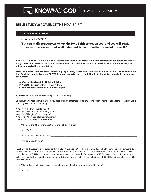## **BIBLE STUDY 3:** POWER OF THE HOLY SPIRIT

### **SCRIPTURE MEMORIZATION:**

Begin memorizing ACTS 1:8

**"But you shall receive power when the Holy Spirit comes on you; and you will be My witnesses in Jerusalem, and in all Judea and Samaria, and to the end of the earth."** 

**Acts 1:4-5 – On one occasion, while He was eating with them, He gave this command: "Do not leave Jerusalem, but wait for the gift my Father promised, which you have heard me speak about. For John baptized with water, but in a few days you will be baptized with the Holy Spirit.** 

**Jesus did not want His disciples to immediately begin telling others about Him. He told them to wait for the Baptism of the Holy Spirit, because He knew the POWER they were to receive was essential for the task ahead of them. In this lesson you should learn.** 

- **A. Who the Baptism of the Holy Spirit is for.**
- **B. What the Baptism of the Holy Spirit if for.**
- **C. How to receive the Baptism of the Holy Spirit.**

**BAPTISM** means to be immersed or dipped into something.

So that you will not become confused, you need to know that there are several terms which refer to "The Baptism of the Holy Spirit" and they all mean the same thing.

Acts 2:4 – "Filled with the Holy Spirit." Acts 2:33 – "The promise of the Holy Spirit." Acts 2:38 – "The gift of the Holy Spirit." Acts 11:15 – "Holy Spirit fell (came) on them." Luke 24:49 – "The promise of My Father."

1. Who does the Bible say the Baptism of the Holy Spirit is for?

| .<br>А. |  |
|---------|--|
|         |  |

Has God called you to salvation?\_\_\_\_\_\_\_\_\_\_\_\_\_\_\_\_\_\_\_\_\_\_\_\_\_\_\_\_\_\_\_\_\_\_\_\_\_\_\_\_\_\_\_\_\_\_\_\_\_\_\_\_\_\_\_\_\_\_\_\_\_\_\_\_\_\_\_\_\_\_\_\_\_\_\_\_\_

Is this promise for you?

In John 14:16-17, Jesus told His disciples that the Spirit had been **WITH** them and would soon be **IN** them. The Spirit came inside them in John 20:22. After Jesus had been resurrected, He spoke to them and said, "Receive the Holy Spirit." Before we are saved, the Holy Spirit is **WITH** us calling us to Jesus. When we are born again, the Spirit comes **INSIDE** us to teach and guide us. All true believers have the Holy Spirit living inside them. But Jesus went on to tell His disciples in Acts 1:8 that the Spirit would also be **ON**  or **UPON** them.

2. What did Jesus tell His disciples they would receive when the Holy Spirit came ON them?

Acts1:8\_\_\_\_\_\_\_\_\_\_\_\_\_\_\_\_\_\_\_\_\_\_\_\_\_\_\_\_\_\_\_\_\_\_\_\_\_\_\_\_\_\_\_\_\_\_\_\_\_\_\_\_\_\_\_\_\_\_\_\_\_\_\_\_\_\_\_\_\_\_\_\_\_\_\_\_\_\_\_\_\_\_\_\_\_\_\_\_\_\_\_\_\_\_\_\_\_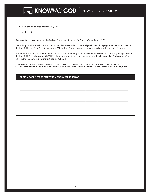

12. How can we be filled with the Holy Spirit?

Luke 11:11-13 \_\_\_\_\_\_\_\_\_\_\_\_\_\_\_\_\_\_\_\_\_\_\_\_\_\_\_\_\_\_\_\_\_\_\_\_\_\_\_\_\_\_\_\_\_\_\_\_\_\_\_\_\_\_\_\_\_\_\_\_\_\_\_\_\_\_\_\_\_\_\_\_\_\_\_\_\_\_\_\_\_\_\_\_\_\_\_\_\_\_\_

If you want to know more about the Body of Christ, read Romans 12:4-8 and 1 Corinthians 12:1-31.

The Holy Spirit is like a wall outlet in your house. The power is always there, all you have to do is plug into it. With the power of the Holy Spirit, your "plug" is faith. When you ASK, believe God will answer your prayer, and you will plug into His power.

In Ephesians 5:18 the Bible commands us to "be filled with the Holy Spirit." It is better translated "be continually being filled with the Holy Spirit." It is talking about REFILLS. It is not just a one time filling, but we are continually in need of God's power. We get refills in the same way we get the first filling, JUST ASK!

IF YOU HAVE NOT ALREADY BEEN FILLED WITH THE HOLY SPIRIT OR IF YOU NEED A REFILL, JUST PRAY A SIMPLE PRAYER LIKE THIS: **"FATHER, MY POWER IS NOT ENOUGH. FILL ME WITH YOUR HOLY SPIRIT AND GIVE ME THE POWER I NEED. IN JESUS' NAME, AMEN."**

| FROM MEMORY, WRITE OUT YOUR MEMORY VERSE BELOW. |  |
|-------------------------------------------------|--|
|                                                 |  |
|                                                 |  |
|                                                 |  |
|                                                 |  |
|                                                 |  |
|                                                 |  |
|                                                 |  |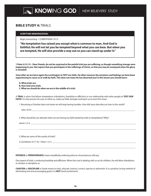### **BIBLE STUDY 4:** TRIALS

### **SCRIPTURE MEMORIZATION:**

Begin memorizing 1 CORINTHIANS 10:13

**"No temptation has seized you except what is common to man. And God is faithful; He will not let you be tempted beyond what you can bear. But when you are tempted, He will also provide a way out so you can stand up under it."**

**1 Peter 4:12-13 – Dear friends, do not be surprised at the painful trial you are suffering, as though something strange were happening to you. But rejoice that you participate in the sufferings of Christ, so that you may be overjoyed when His glory is revealed.** 

**Soon after we are born again the Lord begins to TEST our faith. He often removes the emotions and feelings we have been experiencing to cause us to walk by faith. This does not mean He has deserted you! In this lesson you should learn:**

**A. What trials are.**

- **B. How God uses trials.**
- **C. What we should do when we are in the middle of a trial.**

A **TRIAL** is when God allows temptations, tribulations, (hardship or affliction) or our relationship with other people to **TEST OUR**  FAITH. It is the process He uses to refine us, make our faith stronger and teach us to trust Him more.

1. Becoming a Christian does not mean we will stop having troubles. How did Jesus describe our lives in this world?

John 16:33 \_\_\_\_\_\_\_\_\_\_\_\_\_\_\_\_\_\_\_\_\_\_\_\_\_\_\_\_\_\_\_\_\_\_\_\_\_\_\_\_\_\_\_\_\_\_\_\_\_\_\_\_\_\_\_\_\_\_\_\_\_\_\_\_\_\_\_\_\_\_\_\_\_\_\_\_\_\_\_\_\_\_\_\_\_\_\_\_\_\_\_\_\_

2. What should be our attitude when we are having our faith tested by trials or temptations? Why?

James 1:2-4 \_\_\_\_\_\_\_\_\_\_\_\_\_\_\_\_\_\_\_\_\_\_\_\_\_\_\_\_\_\_\_\_\_\_\_\_\_\_\_\_\_\_\_\_\_\_\_\_\_\_\_\_\_\_\_\_\_\_\_\_\_\_\_\_\_\_\_\_\_\_\_\_\_\_\_\_\_\_\_\_\_\_\_\_\_\_\_\_\_\_\_\_\_\_\_

3. What are some of the results of trials?

**PATIENCE** or **PERSEVERANCE** means steadfastly enduring adverse circumstances with joy.

One aspect of trials, is enduring hardship and affliction. When the Lord is dealing with us as His children, He will allow tribulations to chasten or discipline us.

\_\_\_\_\_\_\_\_\_\_\_\_\_\_\_\_\_\_\_\_\_\_\_\_\_\_\_\_\_\_\_\_\_\_\_\_\_\_\_\_\_\_\_\_\_\_\_\_\_\_\_\_\_\_\_\_\_\_\_\_\_\_\_\_\_\_\_\_\_\_\_\_\_\_\_\_\_\_\_\_\_\_\_\_\_\_\_\_\_\_\_\_\_\_\_\_\_\_\_\_\_\_\_\_\_

 $\_$  ,  $\_$  ,  $\_$  ,  $\_$  ,  $\_$  ,  $\_$  ,  $\_$  ,  $\_$  ,  $\_$  ,  $\_$  ,  $\_$  ,  $\_$  ,  $\_$  ,  $\_$  ,  $\_$  ,  $\_$  ,  $\_$  ,  $\_$  ,  $\_$  ,  $\_$  ,  $\_$  ,  $\_$  ,  $\_$  ,  $\_$  ,  $\_$  ,  $\_$  ,  $\_$  ,  $\_$  ,  $\_$  ,  $\_$  ,  $\_$  ,  $\_$  ,  $\_$  ,  $\_$  ,  $\_$  ,  $\_$  ,  $\_$  ,

**CHASTEN** or **DISCIPLINE** in Greek means to train, educate, instruct, correct, reprove or admonish. It is a positive, loving method of eliminating evil and encouraging good. It is **NOT** harsh punishment.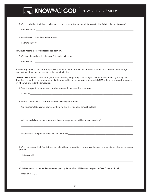**KNOWING GOD NEW BELIEVERS' STUDY** 4. When our Father disciplines or chastens us, He is demonstrating our relationship to Him. What is that relationship? Hebrews 12:5-8 \_\_\_\_\_\_\_\_\_\_\_\_\_\_\_\_\_\_\_\_\_\_\_\_\_\_\_\_\_\_\_\_\_\_\_\_\_\_\_\_\_\_\_\_\_\_\_\_\_\_\_\_\_\_\_\_\_\_\_\_\_\_\_\_\_\_\_\_\_\_\_\_\_\_\_\_\_\_\_\_\_\_\_\_\_\_\_\_ 5. Why does God discipline or chasten us? Hebrews 12:9-10 **with a strategies of the strategies of the strategies of the strategies of the strategies of the strategies of the strategies of the strategies of the strategies of the strategies of the strategies of the HOLINESS** means morally perfect or free from sin. 6. What are the end results when our Father disciplines us? Hebrews 12:11 \_\_\_\_\_\_\_\_\_\_\_\_\_\_\_\_\_\_\_\_\_\_\_\_\_\_\_\_\_\_\_\_\_\_\_\_\_\_\_\_\_\_\_\_\_\_\_\_\_\_\_\_\_\_\_\_\_\_\_\_\_\_\_\_\_\_\_\_\_\_\_\_\_\_\_\_\_\_\_\_\_\_\_\_\_\_\_\_ Another way God tests our faith, is by allowing Satan to tempt us. Each time the Lord helps us resist another temptation, we learn to trust Him more. He uses it to build our faith in Him. **TEMPTATION** is when Satan tries to get us to sin. He may tempt us by something we see. He may tempt us by putting evil thoughts in our minds. He may tempt our flesh or our pride. He has many temptations. It is **NOT** a sin to be tempted! It is only a sin when we give in to the temptation. 7. Satan's temptations are strong, but what promise do we have that is stronger?  $1$  John 4:4 8. Read 1 Corinthians 10:13 and answer the following questions: Are your temptations ever new, something no one else has gone through before? \_\_\_\_\_\_\_\_\_\_\_\_\_\_\_\_\_\_\_\_\_\_\_\_\_\_\_\_\_\_\_\_  $\overline{\phantom{a}}$  , and the set of the set of the set of the set of the set of the set of the set of the set of the set of the set of the set of the set of the set of the set of the set of the set of the set of the set of the s Will the Lord allow your temptations to be so strong that you will be unable to resist it? \_\_\_\_\_\_\_\_\_\_\_\_\_\_\_\_\_\_\_\_\_\_\_\_\_\_\_\_\_\_\_\_\_\_\_\_\_\_\_\_\_\_\_\_\_\_\_\_\_\_\_\_\_\_\_\_\_\_\_\_\_\_\_\_\_\_\_\_\_\_\_\_\_\_\_\_\_\_\_\_\_\_\_\_\_\_\_\_\_\_\_\_\_\_\_\_\_\_\_\_\_ What will the Lord provide when you are tempted?\_\_\_\_\_\_\_\_\_\_\_\_\_\_\_\_\_\_\_\_\_\_\_\_\_\_\_\_\_\_\_\_\_\_\_\_\_\_\_\_\_\_\_\_\_\_\_\_\_\_\_\_\_\_\_\_\_\_\_ \_\_\_\_\_\_\_\_\_\_\_\_\_\_\_\_\_\_\_\_\_\_\_\_\_\_\_\_\_\_\_\_\_\_\_\_\_\_\_\_\_\_\_\_\_\_\_\_\_\_\_\_\_\_\_\_\_\_\_\_\_\_\_\_\_\_\_\_\_\_\_\_\_\_\_\_\_\_\_\_\_\_\_\_\_\_\_\_\_\_\_\_\_\_\_\_\_\_\_\_\_ 9. When we ask our High Priest, Jesus, for help with our temptations, how can we be sure He understands what we are going through? Hebrews 4:15 \_\_\_\_\_\_\_\_\_\_\_\_\_\_\_\_\_\_\_\_\_\_\_\_\_\_\_\_\_\_\_\_\_\_\_\_\_\_\_\_\_\_\_\_\_\_\_\_\_\_\_\_\_\_\_\_\_\_\_\_\_\_\_\_\_\_\_\_\_\_\_\_\_\_\_\_\_\_\_\_\_\_\_\_\_\_\_\_\_  $\_$  ,  $\_$  ,  $\_$  ,  $\_$  ,  $\_$  ,  $\_$  ,  $\_$  ,  $\_$  ,  $\_$  ,  $\_$  ,  $\_$  ,  $\_$  ,  $\_$  ,  $\_$  ,  $\_$  ,  $\_$  ,  $\_$  ,  $\_$  ,  $\_$  ,  $\_$  ,  $\_$  ,  $\_$  ,  $\_$  ,  $\_$  ,  $\_$  ,  $\_$  ,  $\_$  ,  $\_$  ,  $\_$  ,  $\_$  ,  $\_$  ,  $\_$  ,  $\_$  ,  $\_$  ,  $\_$  ,  $\_$  ,  $\_$  , 10. In Matthew 4:1-11 when Jesus was tempted by Satan, what did He use to respond to Satan's temptations? Matthew 4:4,7,10 \_\_\_\_\_\_\_\_\_\_\_\_\_\_\_\_\_\_\_\_\_\_\_\_\_\_\_\_\_\_\_\_\_\_\_\_\_\_\_\_\_\_\_\_\_\_\_\_\_\_\_\_\_\_\_\_\_\_\_\_\_\_\_\_\_\_\_\_\_\_\_\_\_\_\_\_\_\_\_\_\_\_\_\_\_\_

 $\Box$